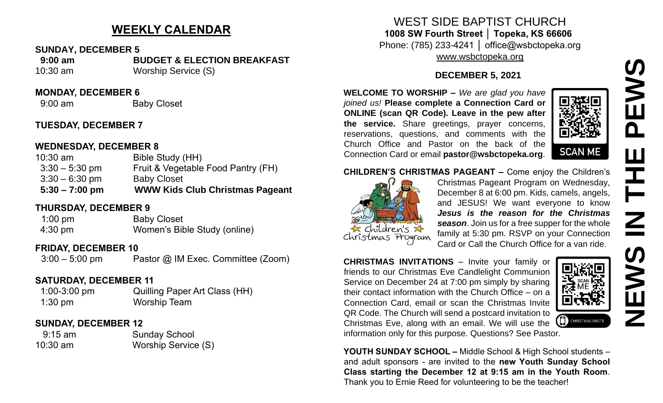# **WEEKLY CALENDAR**

#### **SUNDAY, DECEMBER 5**

 **9:00 am BUDGET & ELECTION BREAKFAST** 10:30 am Worship Service (S)

#### **MONDAY, DECEMBER 6**

9:00 am Baby Closet

# **TUESDAY, DECEMBER 7**

#### **WEDNESDAY, DECEMBER 8**

| $5:30 - 7:00$ pm | <b>WWW Kids Club Christmas Pageant</b> |
|------------------|----------------------------------------|
| $3:30 - 6:30$ pm | <b>Baby Closet</b>                     |
| $3:30 - 5:30$ pm | Fruit & Vegetable Food Pantry (FH)     |
| $10:30$ am       | Bible Study (HH)                       |

# **THURSDAY, DECEMBER 9**

| $1:00 \text{ pm}$ | <b>Baby Closet</b>           |
|-------------------|------------------------------|
| $4:30 \text{ pm}$ | Women's Bible Study (online) |

# **FRIDAY, DECEMBER 10**

3:00 – 5:00 pm Pastor @ IM Exec. Committee (Zoom)

# **SATURDAY, DECEMBER 11**

 1:00-3:00 pm Quilling Paper Art Class (HH) 1:30 pm Worship Team

#### **SUNDAY, DECEMBER 12**

| $9:15$ am  | <b>Sunday School</b> |
|------------|----------------------|
| $10:30$ am | Worship Service (S)  |

# WEST SIDE BAPTIST CHURCH **1008 SW Fourth Street │ Topeka, KS 66606**

Phone: (785) 233-4241 │ office@wsbctopeka.org [www.wsbctopeka.org](http://www.wsbctopeka.org/)

#### **DECEMBER 5, 2021**

**WELCOME TO WORSHIP –** *We are glad you have joined us!* **Please complete a Connection Card or ONLINE (scan QR Code). Leave in the pew after the service.** Share greetings, prayer concerns, reservations, questions, and comments with the Church Office and Pastor on the back of the Connection Card or email **pastor@wsbctopeka.org**.



#### **CHILDREN'S CHRISTMAS PAGEANT –** Come enjoy the Children's



Christmas Pageant Program on Wednesday, December 8 at 6:00 pm. Kids, camels, angels, and JESUS! We want everyone to know *Jesus is the reason for the Christmas season*. Join us for a free supper for the whole family at 5:30 pm. RSVP on your Connection Card or Call the Church Office for a van ride.

**CHRISTMAS INVITATIONS** – Invite your family or friends to our Christmas Eve Candlelight Communion Service on December 24 at 7:00 pm simply by sharing their contact information with the Church Office – on a Connection Card, email or scan the Christmas Invite QR Code. The Church will send a postcard invitation to Christmas Eve, along with an email. We will use the information only for this purpose. Questions? See Pastor.



**YOUTH SUNDAY SCHOOL –** Middle School & High School students – and adult sponsors - are invited to the **new Youth Sunday School Class starting the December 12 at 9:15 am in the Youth Room**. Thank you to Ernie Reed for volunteering to be the teacher!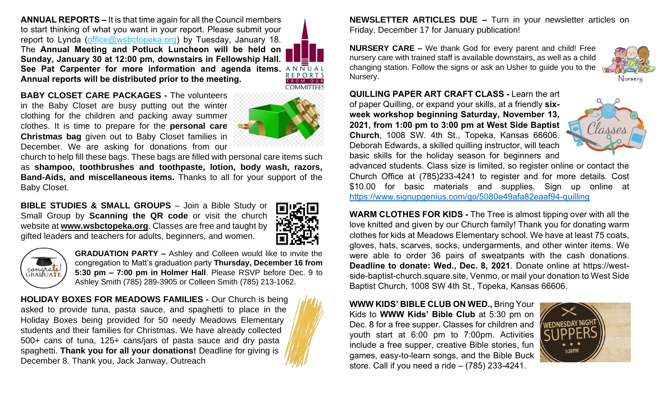**ANNUAL REPORTS –** It is that time again for all the Council members to start thinking of what you want in your report. Please submit your report to Lynda [\(office@wsbctopeka.org\)](mailto:office@wsbctopeka.org) by Tuesday, January 18. The **Annual Meeting and Potluck Luncheon will be held on Sunday, January 30 at 12:00 pm, downstairs in Fellowship Hall.**  See Pat Carpenter for more information and agenda items. **ANNUAL Annual reports will be distributed prior to the meeting.**

**REPORTS** 

**BABY CLOSET CARE PACKAGES -** The volunteers in the Baby Closet are busy putting out the winter clothing for the children and packing away summer clothes. It is time to prepare for the **personal care Christmas bag** given out to Baby Closet families in December. We are asking for donations from our

church to help fill these bags. These bags are filled with personal care items such as **shampoo, toothbrushes and toothpaste, lotion, body wash, razors, Band-Aids, and miscellaneous items.** Thanks to all for your support of the Baby Closet.

**BIBLE STUDIES & SMALL GROUPS – Join a Bible Study or** Small Group by **Scanning the QR code** or visit the church website at **www.wsbctopeka.org**. Classes are free and taught by gifted leaders and teachers for adults, beginners, and women.





**GRADUATION PARTY –** Ashley and Colleen would like to invite the congregation to Matt's graduation party **Thursday, December 16 from 5:30 pm – 7:00 pm in Holmer Hall**. Please RSVP before Dec. 9 to Ashley Smith (785) 289-3905 or Colleen Smith (785) 213-1062.

**HOLIDAY BOXES FOR MEADOWS FAMILIES -** Our Church is being asked to provide tuna, pasta sauce, and spaghetti to place in the Holiday Boxes being provided for 50 needy Meadows Elementary students and their families for Christmas. We have already collected 500+ cans of tuna, 125+ cans/jars of pasta sauce and dry pasta spaghetti. **Thank you for all your donations!** Deadline for giving is December 8. Thank you, Jack Janway, Outreach

**NEWSLETTER ARTICLES DUE –** Turn in your newsletter articles on Friday, December 17 for January publication!

**NURSERY CARE –** We thank God for every parent and child! Free nursery care with trained staff is available downstairs, as well as a child changing station. Follow the signs or ask an Usher to guide you to the Nursery.

**QUILLING PAPER ART CRAFT CLASS -** Learn the art of paper Quilling, or expand your skills, at a friendly **sixweek workshop beginning Saturday, November 13, 2021, from 1:00 pm to 3:00 pm at West Side Baptist Church**, 1008 SW. 4th St., Topeka, Kansas 66606. Deborah Edwards, a skilled quilling instructor, will teach basic skills for the holiday season for beginners and



Nursery

advanced students. Class size is limited, so register online or contact the Church Office at (785)233-4241 to register and for more details. Cost \$10.00 for basic materials and supplies. Sign up online at <https://www.signupgenius.com/go/5080e49afa82eaaf94-quilling>

**WARM CLOTHES FOR KIDS -** The Tree is almost tipping over with all the love knitted and given by our Church family! Thank you for donating warm clothes for kids at Meadows Elementary school. We have at least 75 coats, gloves, hats, scarves, socks, undergarments, and other winter items. We were able to order 36 pairs of sweatpants with the cash donations. **Deadline to donate: Wed., Dec. 8, 2021**. Donate online at https://westside-baptist-church.square.site, Venmo, or mail your donation to West Side Baptist Church, 1008 SW 4th St., Topeka, Kansas 66606.

**WWW KIDS' BIBLE CLUB ON WED.,** Bring Your Kids to **WWW Kids' Bible Club** at 5:30 pm on Dec. 8 for a free supper. Classes for children and youth start at 6:00 pm to 7:00pm. Activities include a free supper, creative Bible stories, fun games, easy-to-learn songs, and the Bible Buck store. Call if you need a ride – (785) 233-4241.